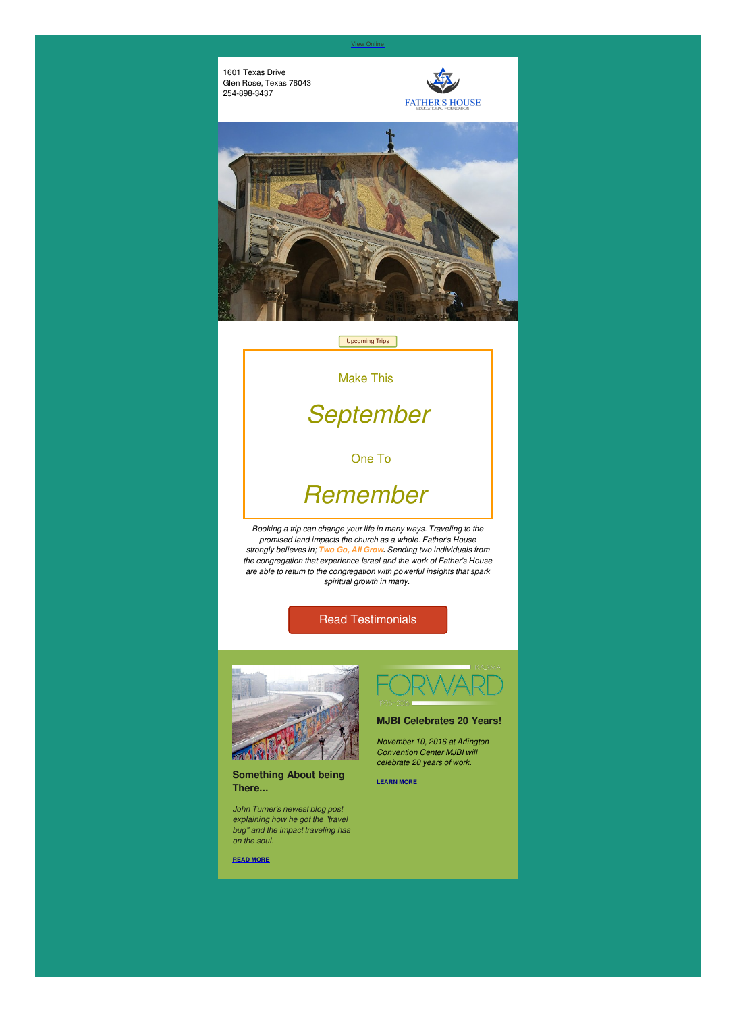1601 Texas Drive Glen Rose, Texas 76043 254-898-3437





### Read [Testimonials](http://fathershousefoundation.com/testimonials/)



**Something About being There...**

*John Turner's newest blog post explaining how he got the "travel bug" and the impact traveling has on the soul.*

**READ [MORE](http://fathershousefoundation.com/2016/08/30/something-about-being-there/)**



*November 10, 2016 at Arlington Convention Center MJBI will celebrate 20 years of work.*

**[LEARN](http://forward.mjbi.org/) MORE**

[Upcoming](http://fathershousefoundation.com/upcoming-trips/) Trips

Make This

*September*

One To

# *Remember*

*Booking a trip can change your life in many ways. Traveling to the promised land impacts the church as a whole. Father's House strongly believes in; Two Go, All Grow. Sending two individuals from the congregation that experience Israel and the work of Father's House are able to return to the congregation with powerful insights that spark spiritual growth in many.*

#### View [Online]({VR_HOSTED_LINK})

#### **MJBI Celebrates 20 Years!**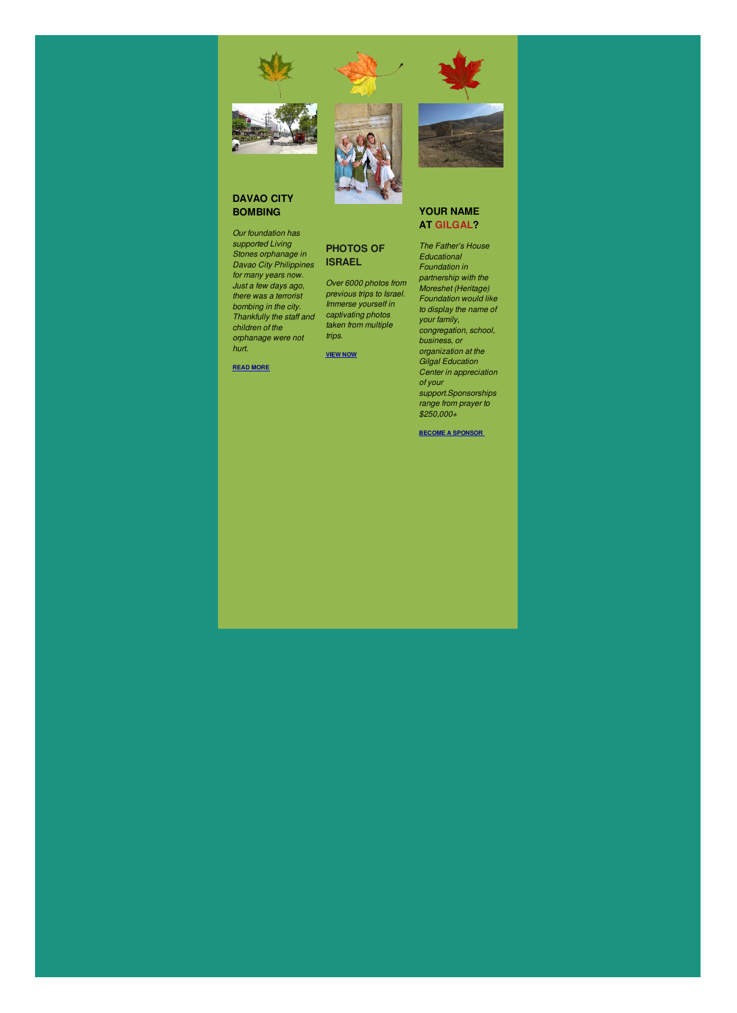#### **DAVAO CITY BOMBING**

*Our foundation has supported Living Stones orphanage in Davao City Philippines for many years now. Just a few days ago, there was a terrorist bombing in the city. Thankfully the staff and children of the orphanage were not hurt.*

**READ [MORE](http://fathershousefoundation.com/2016/09/06/davao-city-bombing/)**





**PHOTOS OF**

**ISRAEL**

*Over 6000 photos from previous trips to Israel. Immerse yourself in captivating photos taken from multiple*

*trips.*

**[VIEW](https://www.flickr.com/photos/fhef/) NOW**

### **YOUR NAME AT GILGAL?**

*The Father's House Educational Foundation in partnership with the Moreshet (Heritage) Foundation would like to display the name of your family, congregation, school, business, or organization at the Gilgal Education Center in appreciation of your support.Sponsorships range from prayer to \$250,000+*

**BECOME A [SPONSOR](http://www.gilgalvisitorcenter.org/wp/more-inf/)**